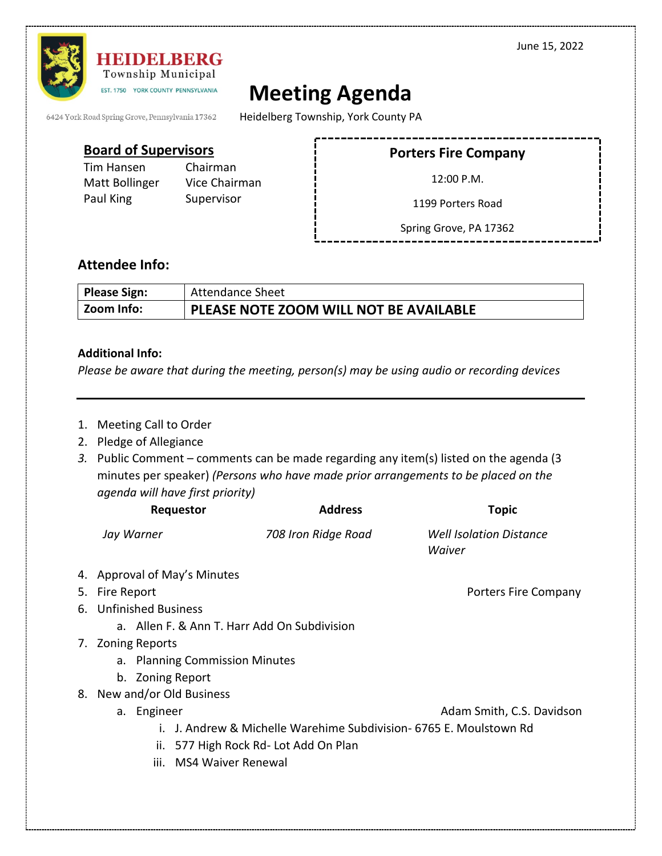June 15, 2022



**HEIDELBERG** Township Municipal EST. 1750 YORK COUNTY PENNSYLVANIA

## **Meeting Agenda**

6424 York Road Spring Grove, Pennsylvania 17362

Heidelberg Township, York County PA

## **Board of Supervisors**

Tim Hansen Chairman Paul King Supervisor

Matt Bollinger Vice Chairman

**Porters Fire Company**

12:00 P.M.

1199 Porters Road

Spring Grove, PA 17362

## **Attendee Info:**

| Please Sign:<br><b>Attendance Sheet</b> |                                        |
|-----------------------------------------|----------------------------------------|
| Zoom Info:                              | PLEASE NOTE ZOOM WILL NOT BE AVAILABLE |

## **Additional Info:**

*Please be aware that during the meeting, person(s) may be using audio or recording devices*

- 1. Meeting Call to Order
- 2. Pledge of Allegiance
- *3.* Public Comment comments can be made regarding any item(s) listed on the agenda (3 minutes per speaker) *(Persons who have made prior arrangements to be placed on the agenda will have first priority)*

| Requestor                                    | <b>Address</b>                                                  | Topic                                    |  |  |
|----------------------------------------------|-----------------------------------------------------------------|------------------------------------------|--|--|
| Jay Warner                                   | 708 Iron Ridge Road                                             | <b>Well Isolation Distance</b><br>Waiver |  |  |
| 4. Approval of May's Minutes                 |                                                                 |                                          |  |  |
| 5. Fire Report                               |                                                                 | Porters Fire Company                     |  |  |
| 6. Unfinished Business                       |                                                                 |                                          |  |  |
| a. Allen F. & Ann T. Harr Add On Subdivision |                                                                 |                                          |  |  |
| 7. Zoning Reports                            |                                                                 |                                          |  |  |
| a. Planning Commission Minutes               |                                                                 |                                          |  |  |
| b. Zoning Report                             |                                                                 |                                          |  |  |
| 8. New and/or Old Business                   |                                                                 |                                          |  |  |
| a. Engineer                                  |                                                                 | Adam Smith, C.S. Davidson                |  |  |
|                                              | J. Andrew & Michelle Warehime Subdivision- 6765 E. Moulstown Rd |                                          |  |  |
| ii.                                          | 577 High Rock Rd- Lot Add On Plan                               |                                          |  |  |
| MS4 Waiver Renewal<br>iii.                   |                                                                 |                                          |  |  |
|                                              |                                                                 |                                          |  |  |